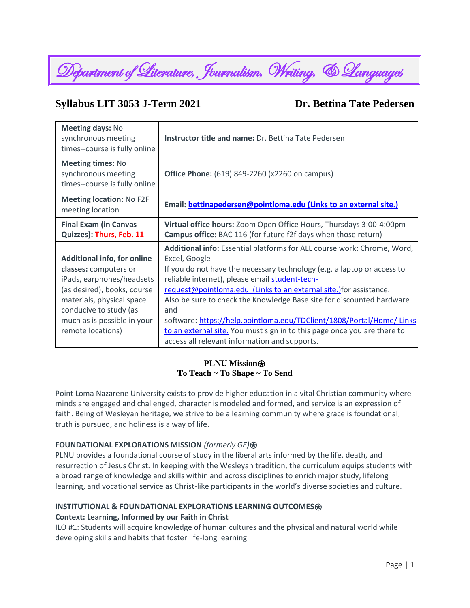

# **Syllabus LIT 3053 J-Term 2021 Dr. Bettina Tate Pedersen**

| <b>Meeting days: No</b><br>synchronous meeting<br>times--course is fully online                                                                                                                                                    | Instructor title and name: Dr. Bettina Tate Pedersen                                                                                                                                                                                                                                                                                                                                                                                                                                                                                                                              |  |
|------------------------------------------------------------------------------------------------------------------------------------------------------------------------------------------------------------------------------------|-----------------------------------------------------------------------------------------------------------------------------------------------------------------------------------------------------------------------------------------------------------------------------------------------------------------------------------------------------------------------------------------------------------------------------------------------------------------------------------------------------------------------------------------------------------------------------------|--|
| <b>Meeting times: No</b><br>synchronous meeting<br>times--course is fully online                                                                                                                                                   | <b>Office Phone:</b> (619) 849-2260 (x2260 on campus)                                                                                                                                                                                                                                                                                                                                                                                                                                                                                                                             |  |
| <b>Meeting location: No F2F</b><br>meeting location                                                                                                                                                                                | Email: bettinapedersen@pointloma.edu (Links to an external site.)                                                                                                                                                                                                                                                                                                                                                                                                                                                                                                                 |  |
| <b>Final Exam (in Canvas</b><br>Quizzes): Thurs, Feb. 11                                                                                                                                                                           | Virtual office hours: Zoom Open Office Hours, Thursdays 3:00-4:00pm<br>Campus office: BAC 116 (for future f2f days when those return)                                                                                                                                                                                                                                                                                                                                                                                                                                             |  |
| <b>Additional info, for online</b><br>classes: computers or<br>iPads, earphones/headsets<br>(as desired), books, course<br>materials, physical space<br>conducive to study (as<br>much as is possible in your<br>remote locations) | Additional info: Essential platforms for ALL course work: Chrome, Word,<br>Excel, Google<br>If you do not have the necessary technology (e.g. a laptop or access to<br>reliable internet), please email student-tech-<br>request@pointloma.edu (Links to an external site.) for assistance.<br>Also be sure to check the Knowledge Base site for discounted hardware<br>and<br>software: https://help.pointloma.edu/TDClient/1808/Portal/Home/ Links<br>to an external site. You must sign in to this page once you are there to<br>access all relevant information and supports. |  |

# **PLNU Mission**<sup></sup> **To Teach ~ To Shape ~ To Send**

Point Loma Nazarene University exists to provide higher education in a vital Christian community where minds are engaged and challenged, character is modeled and formed, and service is an expression of faith. Being of Wesleyan heritage, we strive to be a learning community where grace is foundational, truth is pursued, and holiness is a way of life.

# **FOUNDATIONAL EXPLORATIONS MISSION** *(formerly GE)*⍟

PLNU provides a foundational course of study in the liberal arts informed by the life, death, and resurrection of Jesus Christ. In keeping with the Wesleyan tradition, the curriculum equips students with a broad range of knowledge and skills within and across disciplines to enrich major study, lifelong learning, and vocational service as Christ-like participants in the world's diverse societies and culture.

# **INSTITUTIONAL & FOUNDATIONAL EXPLORATIONS LEARNING OUTCOMES Context: Learning, Informed by our Faith in Christ**

ILO #1: Students will acquire knowledge of human cultures and the physical and natural world while developing skills and habits that foster life-long learning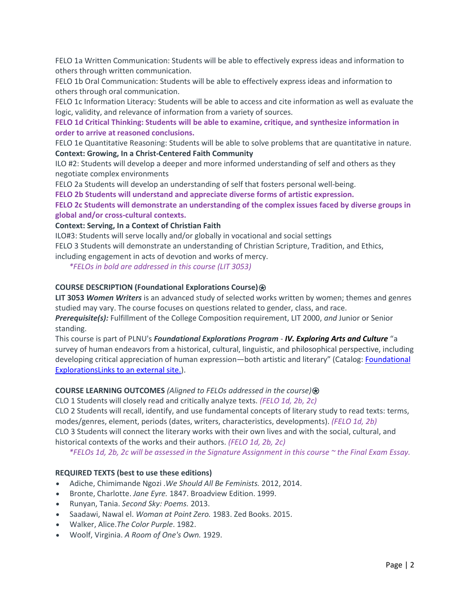FELO 1a Written Communication: Students will be able to effectively express ideas and information to others through written communication.

FELO 1b Oral Communication: Students will be able to effectively express ideas and information to others through oral communication.

FELO 1c Information Literacy: Students will be able to access and cite information as well as evaluate the logic, validity, and relevance of information from a variety of sources.

**FELO 1d Critical Thinking: Students will be able to examine, critique, and synthesize information in order to arrive at reasoned conclusions.**

FELO 1e Quantitative Reasoning: Students will be able to solve problems that are quantitative in nature. **Context: Growing, In a Christ-Centered Faith Community**

ILO #2: Students will develop a deeper and more informed understanding of self and others as they negotiate complex environments

FELO 2a Students will develop an understanding of self that fosters personal well-being.

**FELO 2b Students will understand and appreciate diverse forms of artistic expression.**

**FELO 2c Students will demonstrate an understanding of the complex issues faced by diverse groups in global and/or cross-cultural contexts.**

**Context: Serving, In a Context of Christian Faith**

ILO#3: Students will serve locally and/or globally in vocational and social settings

FELO 3 Students will demonstrate an understanding of Christian Scripture, Tradition, and Ethics,

including engagement in acts of devotion and works of mercy.

*\*FELOs in bold are addressed in this course (LIT 3053)*

# **COURSE DESCRIPTION (Foundational Explorations Course)**⍟

**LIT 3053** *Women Writers* is an advanced study of selected works written by women; themes and genres studied may vary. The course focuses on questions related to gender, class, and race.

*Prerequisite(s):* Fulfillment of the College Composition requirement, LIT 2000, *and* Junior or Senior standing.

This course is part of PLNU's *Foundational Explorations Program* - *IV. Exploring Arts and Culture* "a survey of human endeavors from a historical, cultural, linguistic, and philosophical perspective, including developing critical appreciation of human expression—both artistic and literary" (Catalog: [Foundational](https://catalog.pointloma.edu/content.php?catoid=46&navoid=2639)  [ExplorationsLinks](https://catalog.pointloma.edu/content.php?catoid=46&navoid=2639) to an external site.).

# **COURSE LEARNING OUTCOMES** *(Aligned to FELOs addressed in the course)*⍟

CLO 1 Students will closely read and critically analyze texts. *(FELO 1d, 2b, 2c)*

CLO 2 Students will recall, identify, and use fundamental concepts of literary study to read texts: terms, modes/genres, element, periods (dates, writers, characteristics, developments). *(FELO 1d, 2b)* CLO 3 Students will connect the literary works with their own lives and with the social, cultural, and historical contexts of the works and their authors. *(FELO 1d, 2b, 2c)*

*\*FELOs 1d, 2b, 2c will be assessed in the Signature Assignment in this course ~ the Final Exam Essay.*

# **REQUIRED TEXTS (best to use these editions)**

- Adiche, Chimimande Ngozi .*We Should All Be Feminists.* 2012, 2014.
- Bronte, Charlotte. *Jane Eyre.* 1847. Broadview Edition. 1999.
- Runyan, Tania. *Second Sky: Poems.* 2013.
- Saadawi, Nawal el. *Woman at Point Zero.* 1983. Zed Books. 2015.
- Walker, Alice.*The Color Purple*. 1982.
- Woolf, Virginia. *A Room of One's Own.* 1929.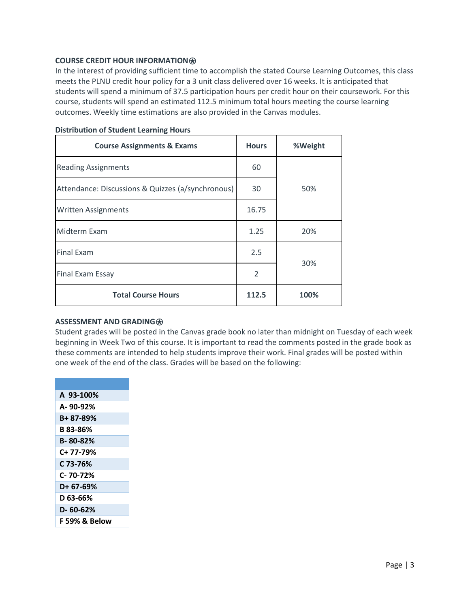# **COURSE CREDIT HOUR INFORMATION**<sup> $\theta$ **</sup>**

In the interest of providing sufficient time to accomplish the stated Course Learning Outcomes, this class meets the PLNU credit hour policy for a 3 unit class delivered over 16 weeks. It is anticipated that students will spend a minimum of 37.5 participation hours per credit hour on their coursework. For this course, students will spend an estimated 112.5 minimum total hours meeting the course learning outcomes. Weekly time estimations are also provided in the Canvas modules.

| <b>Course Assignments &amp; Exams</b>             | <b>Hours</b>   | %Weight |  |
|---------------------------------------------------|----------------|---------|--|
| <b>Reading Assignments</b>                        | 60             | 50%     |  |
| Attendance: Discussions & Quizzes (a/synchronous) | 30             |         |  |
| <b>Written Assignments</b>                        | 16.75          |         |  |
| Midterm Exam                                      | 1.25           | 20%     |  |
| <b>Final Exam</b>                                 | 2.5            | 30%     |  |
| <b>Final Exam Essay</b>                           | $\mathfrak{D}$ |         |  |
| <b>Total Course Hours</b>                         | 112.5          | 100%    |  |

# **Distribution of Student Learning Hours**

#### **ASSESSMENT AND GRADING<sup>**</sup>

Student grades will be posted in the Canvas grade book no later than midnight on Tuesday of each week beginning in Week Two of this course. It is important to read the comments posted in the grade book as these comments are intended to help students improve their work. Final grades will be posted within one week of the end of the class. Grades will be based on the following:

| A 93-100%     |
|---------------|
| A-90-92%      |
| B+ 87-89%     |
| B 83-86%      |
| B-80-82%      |
| C+ 77-79%     |
| C 73-76%      |
| C- 70-72%     |
| D+ 67-69%     |
| D 63-66%      |
| D- 60-62%     |
| F 59% & Below |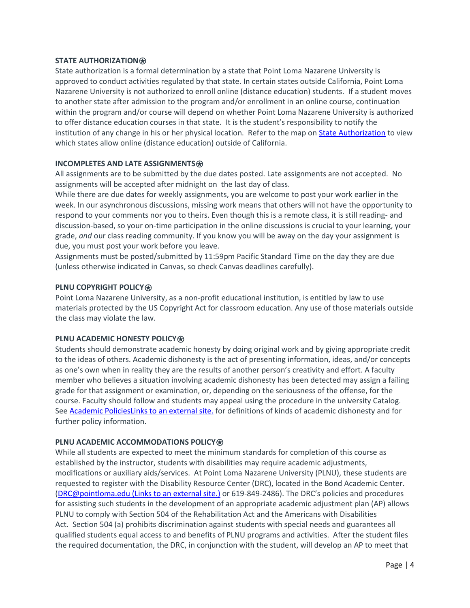# **STATE AUTHORIZATION**⍟

State authorization is a formal determination by a state that Point Loma Nazarene University is approved to conduct activities regulated by that state. In certain states outside California, Point Loma Nazarene University is not authorized to enroll online (distance education) students. If a student moves to another state after admission to the program and/or enrollment in an online course, continuation within the program and/or course will depend on whether Point Loma Nazarene University is authorized to offer distance education courses in that state. It is the student's responsibility to notify the institution of any change in his or her physical location. Refer to the map on [State Authorization](https://www.pointloma.edu/offices/office-institutional-effectiveness-research/disclosures) to view which states allow online (distance education) outside of California.

# **INCOMPLETES AND LATE ASSIGNMENTS**<sup>*∂***</sup>**

All assignments are to be submitted by the due dates posted. Late assignments are not accepted. No assignments will be accepted after midnight on the last day of class.

While there are due dates for weekly assignments, you are welcome to post your work earlier in the week. In our asynchronous discussions, missing work means that others will not have the opportunity to respond to your comments nor you to theirs. Even though this is a remote class, it is still reading- and discussion-based, so your on-time participation in the online discussions is crucial to your learning, your grade, *and* our class reading community. If you know you will be away on the day your assignment is due, you must post your work before you leave.

Assignments must be posted/submitted by 11:59pm Pacific Standard Time on the day they are due (unless otherwise indicated in Canvas, so check Canvas deadlines carefully).

# **PLNU COPYRIGHT POLICY**⍟

Point Loma Nazarene University, as a non-profit educational institution, is entitled by law to use materials protected by the US Copyright Act for classroom education. Any use of those materials outside the class may violate the law.

#### **PLNU ACADEMIC HONESTY POLICY<sup>**</sup>

Students should demonstrate academic honesty by doing original work and by giving appropriate credit to the ideas of others. Academic dishonesty is the act of presenting information, ideas, and/or concepts as one's own when in reality they are the results of another person's creativity and effort. A faculty member who believes a situation involving academic dishonesty has been detected may assign a failing grade for that assignment or examination, or, depending on the seriousness of the offense, for the course. Faculty should follow and students may appeal using the procedure in the university Catalog. Se[e Academic PoliciesLinks](http://catalog.pointloma.edu/content.php?catoid=18&navoid=1278) to an external site. for definitions of kinds of academic dishonesty and for further policy information.

#### **PLNU ACADEMIC ACCOMMODATIONS POLICY<sup>**</sup>

While all students are expected to meet the minimum standards for completion of this course as established by the instructor, students with disabilities may require academic adjustments, modifications or auxiliary aids/services. At Point Loma Nazarene University (PLNU), these students are requested to register with the Disability Resource Center (DRC), located in the Bond Academic Center. [\(DRC@pointloma.edu](https://mail.google.com/mail/?view=cm&fs=1&tf=1&to=DRC@pointloma.edu) (Links to an external site.) or 619-849-2486). The DRC's policies and procedures for assisting such students in the development of an appropriate academic adjustment plan (AP) allows PLNU to comply with Section 504 of the Rehabilitation Act and the Americans with Disabilities Act. Section 504 (a) prohibits discrimination against students with special needs and guarantees all qualified students equal access to and benefits of PLNU programs and activities. After the student files the required documentation, the DRC, in conjunction with the student, will develop an AP to meet that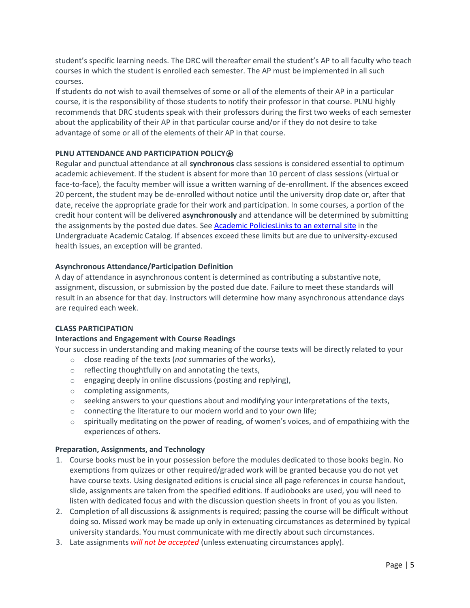student's specific learning needs. The DRC will thereafter email the student's AP to all faculty who teach courses in which the student is enrolled each semester. The AP must be implemented in all such courses.

If students do not wish to avail themselves of some or all of the elements of their AP in a particular course, it is the responsibility of those students to notify their professor in that course. PLNU highly recommends that DRC students speak with their professors during the first two weeks of each semester about the applicability of their AP in that particular course and/or if they do not desire to take advantage of some or all of the elements of their AP in that course.

# **PLNU ATTENDANCE AND PARTICIPATION POLICY<sup>®</sup>**

Regular and punctual attendance at all **synchronous** class sessions is considered essential to optimum academic achievement. If the student is absent for more than 10 percent of class sessions (virtual or face-to-face), the faculty member will issue a written warning of de-enrollment. If the absences exceed 20 percent, the student may be de-enrolled without notice until the university drop date or, after that date, receive the appropriate grade for their work and participation. In some courses, a portion of the credit hour content will be delivered **asynchronously** and attendance will be determined by submitting the assignments by the posted due dates. See Academic PoliciesLinks to an external site in the Undergraduate Academic Catalog. If absences exceed these limits but are due to university-excused health issues, an exception will be granted.

# **Asynchronous Attendance/Participation Definition**

A day of attendance in asynchronous content is determined as contributing a substantive note, assignment, discussion, or submission by the posted due date. Failure to meet these standards will result in an absence for that day. Instructors will determine how many asynchronous attendance days are required each week.

# **CLASS PARTICIPATION**

# **Interactions and Engagement with Course Readings**

Your success in understanding and making meaning of the course texts will be directly related to your

- o close reading of the texts (*not* summaries of the works),
- o reflecting thoughtfully on and annotating the texts,
- o engaging deeply in online discussions (posting and replying),
- o completing assignments,
- $\circ$  seeking answers to your questions about and modifying your interpretations of the texts,
- $\circ$  connecting the literature to our modern world and to your own life;
- $\circ$  spiritually meditating on the power of reading, of women's voices, and of empathizing with the experiences of others.

#### **Preparation, Assignments, and Technology**

- 1. Course books must be in your possession before the modules dedicated to those books begin. No exemptions from quizzes or other required/graded work will be granted because you do not yet have course texts. Using designated editions is crucial since all page references in course handout, slide, assignments are taken from the specified editions. If audiobooks are used, you will need to listen with dedicated focus and with the discussion question sheets in front of you as you listen.
- 2. Completion of all discussions & assignments is required; passing the course will be difficult without doing so. Missed work may be made up only in extenuating circumstances as determined by typical university standards. You must communicate with me directly about such circumstances.
- 3. Late assignments *will not be accepted* (unless extenuating circumstances apply).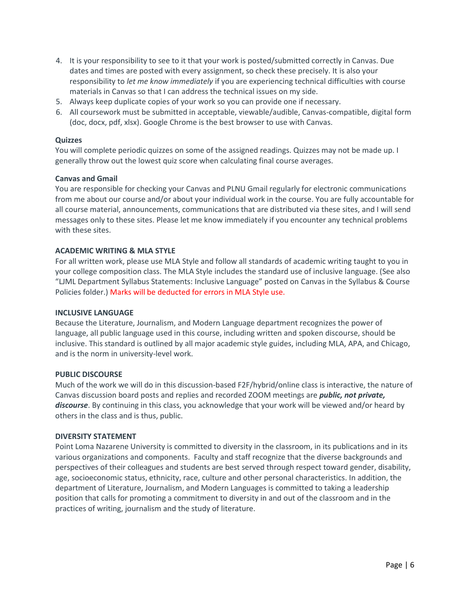- 4. It is your responsibility to see to it that your work is posted/submitted correctly in Canvas. Due dates and times are posted with every assignment, so check these precisely. It is also your responsibility to *let me know immediately* if you are experiencing technical difficulties with course materials in Canvas so that I can address the technical issues on my side.
- 5. Always keep duplicate copies of your work so you can provide one if necessary.
- 6. All coursework must be submitted in acceptable, viewable/audible, Canvas-compatible, digital form (doc, docx, pdf, xlsx). Google Chrome is the best browser to use with Canvas.

# **Quizzes**

You will complete periodic quizzes on some of the assigned readings. Quizzes may not be made up. I generally throw out the lowest quiz score when calculating final course averages.

# **Canvas and Gmail**

You are responsible for checking your Canvas and PLNU Gmail regularly for electronic communications from me about our course and/or about your individual work in the course. You are fully accountable for all course material, announcements, communications that are distributed via these sites, and I will send messages only to these sites. Please let me know immediately if you encounter any technical problems with these sites.

# **ACADEMIC WRITING & MLA STYLE**

For all written work, please use MLA Style and follow all standards of academic writing taught to you in your college composition class. The MLA Style includes the standard use of inclusive language. (See also "LJML Department Syllabus Statements: Inclusive Language" posted on Canvas in the Syllabus & Course Policies folder.) Marks will be deducted for errors in MLA Style use.

#### **INCLUSIVE LANGUAGE**

Because the Literature, Journalism, and Modern Language department recognizes the power of language, all public language used in this course, including written and spoken discourse, should be inclusive. This standard is outlined by all major academic style guides, including MLA, APA, and Chicago, and is the norm in university-level work.

#### **PUBLIC DISCOURSE**

Much of the work we will do in this discussion-based F2F/hybrid/online class is interactive, the nature of Canvas discussion board posts and replies and recorded ZOOM meetings are *public, not private, discourse*. By continuing in this class, you acknowledge that your work will be viewed and/or heard by others in the class and is thus, public.

#### **DIVERSITY STATEMENT**

Point Loma Nazarene University is committed to diversity in the classroom, in its publications and in its various organizations and components. Faculty and staff recognize that the diverse backgrounds and perspectives of their colleagues and students are best served through respect toward gender, disability, age, socioeconomic status, ethnicity, race, culture and other personal characteristics. In addition, the department of Literature, Journalism, and Modern Languages is committed to taking a leadership position that calls for promoting a commitment to diversity in and out of the classroom and in the practices of writing, journalism and the study of literature.